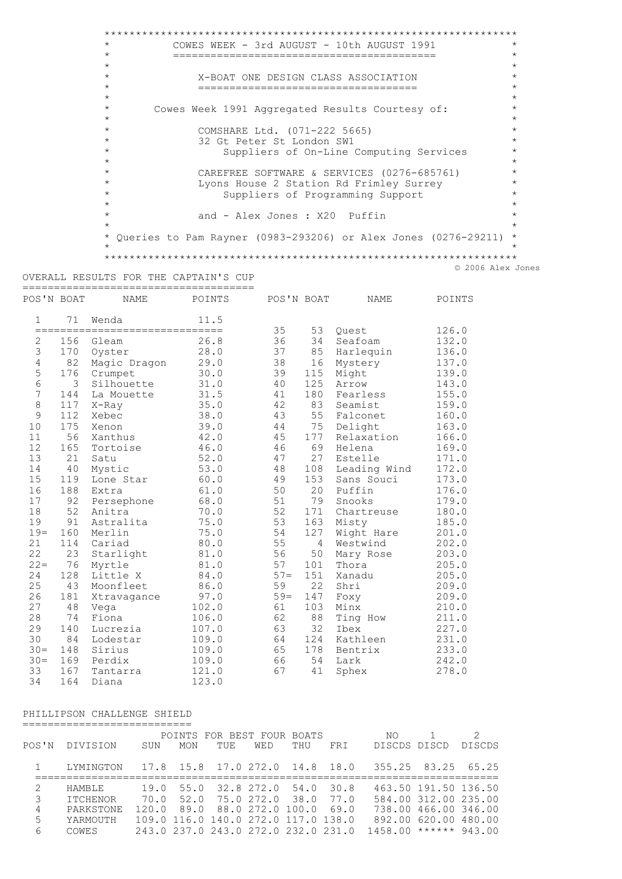$\star$ COWES WEEK - 3rd AUGUST - 10th AUGUST 1991  $\star$  $\star$  $\star$  $\star$  $\star$  $\star$  $\star$ X-BOAT ONE DESIGN CLASS ASSOCIATION  $\star$ =====================================  $\star$  $\star$  $\star$ Cowes Week 1991 Aggregated Results Courtesy of:  $\star$  $\star$  $\star$ COMSHARE Ltd. (071-222 5665)<br>32 Gt Peter St London SW1  $\star$  $\star$  $\star$  $\star$ Suppliers of On-Line Computing Services  $\star$  $\ddot{\phantom{0}}$ CAREFREE SOFTWARE & SERVICES (0276-685761)  $\ddot{\phantom{1}}$  $\star$ Lyons House 2 Station Rd Frimley Surrey  $\star$ Suppliers of Programming Support  $\star$ and - Alex Jones : X20 Puffin \* Queries to Pam Rayner (0983-293206) or Alex Jones (0276-29211) \* © 2006 Alex Jones

## OVERALL RESULTS FOR THE CAPTAIN'S CUP

| POS'N BOAT     |             | <b>NAME</b>        | POINTS | POS'N BOAT |                | <b>NAME</b>  | POINTS |
|----------------|-------------|--------------------|--------|------------|----------------|--------------|--------|
| $\mathbf{1}$   | 71          | Wenda              | 11.5   |            |                |              |        |
|                | =========== | ================== |        | 35         | 53             | Ouest        | 126.0  |
| $\mathbf{2}$   | 156         | Gleam              | 26.8   | 36         | 34             | Seafoam      | 132.0  |
| 3              | 170         | Oyster             | 28.0   | 37         | 85             | Harlequin    | 136.0  |
| $\overline{4}$ | 82          | Magic Dragon       | 29.0   | 38         | 16             | Mystery      | 137.0  |
| 5              | 176         | Crumpet            | 30.0   | 39         | 115            | Might        | 139.0  |
| $\,$ 6 $\,$    | 3           | Silhouette         | 31.0   | 40         | 125            | Arrow        | 143.0  |
| $\overline{7}$ | 144         | La Mouette         | 31.5   | 41         | 180            | Fearless     | 155.0  |
| 8              | 117         | $X$ -Ray           | 35.0   | 42         | 83             | Seamist      | 159.0  |
| 9              | 112         | Xebec              | 38.0   | 43         | 55             | Falconet     | 160.0  |
| 10             | 175         | Xenon              | 39.0   | 44         | 75             | Delight      | 163.0  |
| 11             | 56          | Xanthus            | 42.0   | 45         | 177            | Relaxation   | 166.0  |
| 12             | 165         | Tortoise           | 46.0   | 46         | 69             | Helena       | 169.0  |
| 13             | 21          | Satu               | 52.0   | 47         | 27             | Estelle      | 171.0  |
| 14             | 40          | Mystic             | 53.0   | 48         | 108            | Leading Wind | 172.0  |
| 15             | 119         | Lone Star          | 60.0   | 49         | 153            | Sans Souci   | 173.0  |
| 16             | 188         | Extra              | 61.0   | 50         | 20             | Puffin       | 176.0  |
| 17             | 92          | Persephone         | 68.0   | 51         | 79             | Snooks       | 179.0  |
| 18             | 52          | Anitra             | 70.0   | 52         | 171            | Chartreuse   | 180.0  |
| 19             | 91          | Astralita          | 75.0   | 53         | 163            | Misty        | 185.0  |
| $19=$          | 160         | Merlin             | 75.0   | 54         | 127            | Wight Hare   | 201.0  |
| 21             | 114         | Cariad             | 80.0   | 55         | $\overline{4}$ | Westwind     | 202.0  |
| 22             | 23          | Starlight          | 81.0   | 56         | 50             | Mary Rose    | 203.0  |
| $22 =$         | 76          | Myrtle             | 81.0   | 57         | 101            | Thora        | 205.0  |
| 24             | 128         | Little X           | 84.0   | $57 =$     | 151            | Xanadu       | 205.0  |
| 25             | 43          | Moonfleet          | 86.0   | 59         | 22             | Shri         | 209.0  |
| 26             | 181         | Xtravagance        | 97.0   | $59=$      | 147            | Foxy         | 209.0  |
| 27             | 48          | Vega               | 102.0  | 61         | 103            | Minx         | 210.0  |
| 28             | 74          | Fiona              | 106.0  | 62         | 88             | Ting How     | 211.0  |
| 29             | 140         | Lucrezia           | 107.0  | 63         | 32             | Ibex         | 227.0  |
| 30             | 84          | Lodestar           | 109.0  | 64         | 124            | Kathleen     | 231.0  |
| $30 =$         | 148         | Sirius             | 109.0  | 65         | 178            | Bentrix      | 233.0  |
| $30 =$         | 169         | Perdix             | 109.0  | 66         | 54             | Lark         | 242.0  |
| 33             | 167         | Tantarra           | 121.0  | 67         | 41             | Sphex        | 278.0  |
| 34             | 164         | Diana              | 123.0  |            |                |              |        |

## PHILLIPSON CHALLENGE SHIELD

|                                                                                                                                                                 |           |       |      |      | POINTS FOR BEST FOUR BOATS          |      |      | NO.                                         |                      | $\mathcal{D}$ |
|-----------------------------------------------------------------------------------------------------------------------------------------------------------------|-----------|-------|------|------|-------------------------------------|------|------|---------------------------------------------|----------------------|---------------|
| POS'N                                                                                                                                                           | DIVISION  | SUN   | MON  | TUE. | WED                                 | THU  | FRI  | <b>DISCDS</b>                               | DISCD                | DISCDS        |
|                                                                                                                                                                 | LYMINGTON |       |      |      |                                     |      |      | 17.8 15.8 17.0 272.0 14.8 18.0 355.25 83.25 |                      | 65.25         |
| $\mathcal{D}_{\mathcal{L}}^{\mathcal{L}}(\mathcal{L})=\mathcal{D}_{\mathcal{L}}^{\mathcal{L}}(\mathcal{L})\mathcal{D}_{\mathcal{L}}^{\mathcal{L}}(\mathcal{L})$ | HAMBLE    | 19.0  | 55.0 |      | 32.8 272.0 54.0                     |      | 30.8 |                                             | 463.50 191.50 136.50 |               |
| 3                                                                                                                                                               | ITCHENOR  | 70.0  | 52.0 |      | 75.0 272.0                          | 38.0 | 77.0 |                                             | 584.00 312.00 235.00 |               |
| 4                                                                                                                                                               | PARKSTONE | 120.0 | 89.0 |      | 88.0 272.0 100.0                    |      | 69.0 |                                             | 738.00 466.00 346.00 |               |
| 5                                                                                                                                                               | YARMOUTH  |       |      |      | 109.0 116.0 140.0 272.0 117.0 138.0 |      |      |                                             | 892.00 620.00 480.00 |               |
| 6                                                                                                                                                               | COWES     |       |      |      | 243.0 237.0 243.0 272.0 232.0 231.0 |      |      | 1458.00                                     | ******               | 943.00        |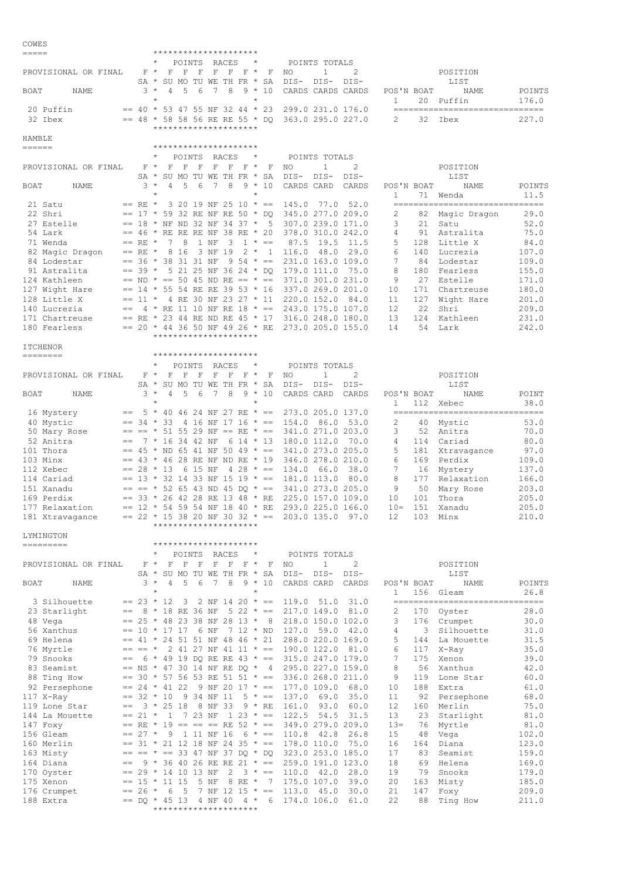| COWES<br>===== |                                 |         |                 |                    | *********************                                                                         |                 |            |            |                                            |                    |                |                                              |                                                                                                      |                 |            |                                                  |                 |
|----------------|---------------------------------|---------|-----------------|--------------------|-----------------------------------------------------------------------------------------------|-----------------|------------|------------|--------------------------------------------|--------------------|----------------|----------------------------------------------|------------------------------------------------------------------------------------------------------|-----------------|------------|--------------------------------------------------|-----------------|
|                |                                 |         |                 |                    | $\mathbf F$                                                                                   | POINTS          | F          | RACES      | *<br>$F$ *                                 |                    |                | POINTS TOTALS<br>$\mathbf{1}$                | 2                                                                                                    |                 |            |                                                  |                 |
|                | PROVISIONAL OR FINAL            |         | $F$ *<br>SA *   |                    | F<br>SU MO                                                                                    | F               |            | F          | TU WE TH FR *                              | F<br>SA            | NO<br>$DIS-$   | $DIS-$                                       | DIS-                                                                                                 |                 |            | POSITION<br>LIST                                 |                 |
| BOAT           | NAME                            |         | 3               | $\star$<br>$\star$ | 4<br>5                                                                                        | 6               | 7          | 8          | 9 *<br>$\star$                             | 10                 |                |                                              | CARDS CARDS CARDS                                                                                    | POS'N BOAT<br>1 | 20         | NAME<br>Puffin                                   | POINTS<br>176.0 |
|                | 20 Puffin<br>32 Ibex            |         |                 |                    | $==$ 40 * 53 47 55 NF 32 44 * 23<br>$==$ 48 * 58 58 56 RE RE 55 * DO<br>********************* |                 |            |            |                                            |                    |                |                                              | 299.0 231.0 176.0<br>363.0 295.0 227.0                                                               | 2               | 32         | ================================<br>Ibex         | 227.0           |
| HAMBLE         |                                 |         |                 |                    |                                                                                               |                 |            |            |                                            |                    |                |                                              |                                                                                                      |                 |            |                                                  |                 |
| ======         |                                 |         |                 |                    | *********************                                                                         |                 |            |            |                                            |                    |                |                                              |                                                                                                      |                 |            |                                                  |                 |
|                | PROVISIONAL OR FINAL            |         | $F$ *           |                    | $\mathbf F$<br>F                                                                              | POINTS<br>F     | F          | RACES<br>F | *<br>$F$ *                                 | F                  | NO             | POINTS TOTALS<br>$\mathbf{1}$                | 2                                                                                                    |                 |            | POSITION                                         |                 |
|                |                                 |         | $SA *$          |                    | SU MO TU WE TH FR *                                                                           |                 |            |            |                                            | SA                 | $DIS-$         | $DIS-$                                       | $DIS-$                                                                                               |                 |            | LIST                                             |                 |
| BOAT           | NAME                            |         | $3 *$           | $\star$            | 4<br>5                                                                                        | 6               | 7          | 8          | $9 *$<br>$\star$                           | 10                 |                | CARDS CARD                                   | CARDS                                                                                                | POS'N BOAT<br>1 | 71         | NAME<br>Wenda                                    | POINTS<br>11.5  |
|                | 21 Satu<br>22 Shri              |         | $==$ RE $*$     |                    | 3 20 19 NF 25 10 * ==<br>$== 17 * 59 32 RE NF RE 50 * DQ$                                     |                 |            |            |                                            |                    | 145.0          | 77.0                                         | 52.0<br>345.0 277.0 209.0                                                                            | 2               | 82         | --------------------------------<br>Magic Dragon | 29.0            |
|                | 27 Estelle                      |         |                 |                    | $== 18$ * NF ND 32 NF 34 37 *                                                                 |                 |            |            |                                            | 5                  |                |                                              | 307.0 239.0 171.0                                                                                    | 3               | 21         | Satu                                             | 52.0            |
|                | 54 Lark                         |         |                 |                    | $== 46 * RE RE RE NF 38 RE * 20$                                                              |                 |            |            |                                            |                    |                |                                              | 378.0 310.0 242.0                                                                                    | 4               | 91         | Astralita                                        | 75.0            |
|                | 71 Wenda                        |         | $==$ RE $*$     |                    | 8<br>7<br>8 1 6                                                                               |                 | 1 NF       | 3          | $1 *$                                      | $=$                | 87.5           | 19.5                                         | 11.5                                                                                                 | 5               | 128        | Little X                                         | 84.0            |
|                | 82 Magic Dragon<br>84 Lodestar  |         | $==$ RE $*$     |                    | $== 36 * 38 31 31 NF$                                                                         |                 | 3 NF 19    |            | $2 * 1$<br>$9\,54 \times =$                |                    | 116.0          | 48.0                                         | 29.0<br>231.0 163.0 109.0                                                                            | 6<br>7          | 140<br>84  | Lucrezia<br>Lodestar                             | 107.0<br>109.0  |
|                | 91 Astralita                    |         | $== 39 *$       |                    | 5 21 25 NF 36 24 * DQ                                                                         |                 |            |            |                                            |                    |                | 179.0 111.0                                  | 75.0                                                                                                 | 8               | 180        | Fearless                                         | 155.0           |
|                | 124 Kathleen                    |         |                 |                    | $==$ ND $* == 50$ 45 ND RE $== * ==$                                                          |                 |            |            |                                            |                    |                |                                              | 371.0 301.0 231.0                                                                                    | 9               | 27         | Estelle                                          | 171.0           |
|                | 127 Wight Hare<br>128 Little X  |         | $== 11 *$       |                    | $== 14 * 55 54 RE RE 39 53 * 16$<br>4 RE 30 NF 23 27 * 11                                     |                 |            |            |                                            |                    |                | 220.0 152.0                                  | 337.0 269.0 201.0<br>84.0                                                                            | 10<br>11        | 171<br>127 | Chartreuse<br>Wight Hare                         | 180.0<br>201.0  |
|                | 140 Lucrezia                    | $==$    |                 |                    | 4 * RE 11 10 NF RE 18 * ==                                                                    |                 |            |            |                                            |                    |                |                                              | 243.0 175.0 107.0                                                                                    | 12              | 22         | Shri                                             | 209.0           |
|                | 171 Chartreuse                  |         |                 |                    | == RE * 23 44 RE ND RE 45 * 17                                                                |                 |            |            |                                            |                    |                |                                              | 316.0 248.0 180.0                                                                                    | 13              | 124        | Kathleen                                         | 231.0           |
|                | 180 Fearless                    |         |                 |                    | $== 20 * 44 36 50 NF 49 26 * RE$<br>*********************                                     |                 |            |            |                                            |                    |                |                                              | 273.0 205.0 155.0                                                                                    | 14              | 54         | Lark                                             | 242.0           |
|                | <b>ITCHENOR</b>                 |         |                 |                    |                                                                                               |                 |            |            |                                            |                    |                |                                              |                                                                                                      |                 |            |                                                  |                 |
|                | --------                        |         |                 |                    | *********************                                                                         |                 |            |            |                                            |                    |                |                                              |                                                                                                      |                 |            |                                                  |                 |
|                |                                 |         |                 |                    |                                                                                               | POINTS          |            | RACES      | *                                          |                    |                | POINTS TOTALS                                |                                                                                                      |                 |            |                                                  |                 |
|                | PROVISIONAL OR FINAL            |         | $F$ *<br>$SA *$ |                    | F<br>F<br>SU MO                                                                               | F               | F          | F          | $F$ *<br>TU WE TH FR *                     | F<br>SΑ            | NO<br>DIS-     | 1<br>DIS-                                    | 2<br>DIS-                                                                                            |                 |            | POSITION<br>LIST                                 |                 |
| BOAT           | NAME                            |         | $3 *$           |                    | 5<br>4                                                                                        | 6               | 7          | 8          | $9 *$                                      | 10                 |                | CARDS CARD                                   | CARDS                                                                                                | POS'N BOAT      |            | NAME                                             | POINT           |
|                |                                 |         |                 | $\star$            |                                                                                               |                 |            |            | $\star$                                    |                    |                |                                              |                                                                                                      | $\mathbf{1}$    | 112        | Xebec                                            | 38.0            |
|                | 16 Mystery<br>40 Mystic         | $==$    |                 | $== 34 * 33$       | $5 * 40 46$                                                                                   |                 |            |            | 24 NF 27 RE $* ==$<br>4 16 NF 17 16 $* ==$ |                    | 154.0          | 86.0                                         | 273.0 205.0 137.0<br>53.0                                                                            | 2               | 40         | --------------------------------<br>Mystic       | 53.0            |
|                | 50 Mary Rose                    |         | $==$ $==$ $*$   |                    | 51 55 29 NF == RE $* ==$                                                                      |                 |            |            |                                            |                    |                |                                              | 341.0 271.0 203.0                                                                                    | 3               | 52         | Anitra                                           | 70.0            |
|                | 52 Anitra                       | $==$    |                 |                    | 7 * 16 34 42 NF                                                                               |                 |            |            | $614 * 13$                                 |                    |                | 180.0 112.0                                  | 70.0                                                                                                 | 4               | 114        | Cariad                                           | 80.0            |
|                | 101 Thora                       |         |                 |                    | $==$ 45 * ND 65 41 NF 50 49 * ==<br>$==$ 43 * 46 28 RE NF ND RE * 19                          |                 |            |            |                                            |                    |                |                                              | 341.0 273.0 205.0                                                                                    | 5<br>6          | 181        | Xtravagance                                      | 97.0            |
|                | 103 Minx<br>112 Xebec           |         |                 | $== 28 * 13$       |                                                                                               | 6 15 NF         |            |            | 4 28 $* ==$                                |                    | 134.0          | 66.0                                         | 346.0 278.0 210.0<br>38.0                                                                            | 7               | 169<br>16  | Perdix<br>Mystery                                | 109.0<br>137.0  |
|                | 114 Cariad                      | $== 13$ |                 |                    | $*$ 32 14 33 NF 15 19 $* ==$                                                                  |                 |            |            |                                            |                    |                | 181.0 113.0                                  | 80.0                                                                                                 | 8               | 177        | Relaxation                                       | 166.0           |
|                | 151 Xanadu                      |         |                 |                    | $== == * 52 65 43 ND 45 DO * ==$                                                              |                 |            |            |                                            |                    |                |                                              | 341.0 273.0 205.0                                                                                    | 9               | 50         | Mary Rose                                        | 203.0           |
|                | 169 Perdix<br>177 Relaxation    |         |                 |                    | $==$ 33 * 26 42 28 RE 13 48 * RE<br>$== 12 * 54 59 54 NF 18 40 * RE$                          |                 |            |            |                                            |                    |                |                                              | 225.0 157.0 109.0<br>293.0 225.0 166.0                                                               | 10<br>$10 =$    | 101<br>151 | Thora<br>Xanadu                                  | 205.0<br>205.0  |
|                | 181 Xtravagance                 |         |                 |                    | $== 22 * 15 38 20 NF 30 32 * ==$                                                              |                 |            |            |                                            |                    |                |                                              | 203.0 135.0 97.0                                                                                     | 12              |            | 103 Minx                                         | 210.0           |
|                |                                 |         |                 |                    | *********************                                                                         |                 |            |            |                                            |                    |                |                                              |                                                                                                      |                 |            |                                                  |                 |
|                | LYMINGTON<br>=========          |         |                 |                    | *********************                                                                         |                 |            |            |                                            |                    |                |                                              |                                                                                                      |                 |            |                                                  |                 |
|                | PROVISIONAL OR FINAL            |         | $F$ *           | $^{\star}$         | F                                                                                             | POINTS<br>$F$ F | RACES      |            | $\star$<br>FFFF*F                          |                    | NO             | POINTS TOTALS<br>1                           | 2                                                                                                    |                 |            | POSITION                                         |                 |
|                |                                 |         |                 |                    | SA * SU MO TU WE TH FR * SA                                                                   |                 |            |            |                                            |                    | DIS-           | DIS-                                         | DIS-                                                                                                 |                 |            | LIST                                             |                 |
| BOAT           | NAME                            |         | $3 *$           |                    | 4<br>5                                                                                        | 6               | 7          | 8          | $9 * 10$<br>$\star$                        |                    |                | CARDS CARD                                   | CARDS                                                                                                | POS'N BOAT<br>1 |            | NAME<br>156 Gleam                                | POINTS<br>26.8  |
|                | 3 Silhouette                    |         |                 | $== 23 * 12$       |                                                                                               |                 |            |            | 3 2 NF 14 20 $* ==$                        |                    | 119.0          | 51.0                                         | 31.0                                                                                                 |                 |            | -------------------------------                  |                 |
|                | 23 Starlight                    |         |                 |                    | $==$ 8 * 18 RE 36 NF                                                                          |                 |            |            |                                            | $5\ 22 \times - =$ |                | 217.0 149.0                                  | 81.0                                                                                                 | 2               | 170        | Oyster                                           | 28.0            |
|                | 48 Vega<br>56 Xanthus           |         |                 |                    | $== 25 * 48 23 38 NF 28 13 * 8$<br>$== 10 * 17 17 6 NF$                                       |                 |            |            | 7 12 * ND                                  |                    |                | 127.0 59.0                                   | 218.0 150.0 102.0<br>42.0                                                                            | 3<br>4          | 3          | 176 Crumpet<br>Silhouette                        | 30.0<br>31.0    |
|                | 69 Helena                       |         |                 |                    | $== 41 * 24 51 51 NF 48 46 * 21$                                                              |                 |            |            |                                            |                    |                |                                              | 288.0 220.0 169.0                                                                                    | 5               | 144        | La Mouette                                       | 31.5            |
|                | 76 Myrtle                       |         |                 |                    | $== == * 2 41 27 NF 41 11 * ==$                                                               |                 |            |            |                                            |                    |                | 190.0 122.0                                  | 81.0                                                                                                 | 6               | 117        | X-Ray                                            | 35.0            |
|                | 79 Snooks<br>83 Seamist         | $==$    |                 |                    | 6 * 49 19 DQ RE RE 43 * ==                                                                    |                 |            |            |                                            |                    |                |                                              | 315.0 247.0 179.0<br>$==$ NS * 47 30 14 NF RE DQ * 4 295.0 227.0 159.0                               | 7<br>8          | 175<br>56  | Xenon<br>Xanthus                                 | 39.0<br>42.0    |
|                | 88 Ting How                     |         |                 |                    | $==$ 30 * 57 56 53 RE 51 51 * ==                                                              |                 |            |            |                                            |                    |                |                                              | 336.0 268.0 211.0                                                                                    | 9               | 119        | Lone Star                                        | 60.0            |
|                | 92 Persephone                   |         |                 |                    |                                                                                               |                 |            |            |                                            |                    |                | $== 24 * 41 22 9 NF 20 17 * == 177.0 109.0$  | 68.0                                                                                                 | 10              | 188        | Extra                                            | 61.0            |
|                | 117 X-Ray                       |         |                 | $== 32 * 10$       |                                                                                               |                 | 9 34 NF 11 |            |                                            | $5 * ==$           | 137.0          | 69.0                                         | 35.0                                                                                                 | 11              |            | 92 Persephone                                    | 68.0            |
|                | 119 Lone Star<br>144 La Mouette | $==$    |                 |                    | 3 * 25 18 8 NF 33<br>$== 21 * 1 7 23 NF 1 23 * ==$                                            |                 |            |            | 9 * RE                                     |                    | 161.0<br>122.5 | 93.0<br>54.5                                 | 60.0<br>31.5                                                                                         | 12<br>13        | 160<br>23  | Merlin<br>Starlight                              | 75.0<br>81.0    |
|                | 147 Foxy                        |         |                 |                    | $==$ RE * 19 == == == RE 52 * ==                                                              |                 |            |            |                                            |                    |                |                                              | 349.0 279.0 209.0                                                                                    | $13 -$          | 76         | Myrtle                                           | 81.0            |
|                | 156 Gleam                       |         |                 |                    | $== 27 * 9 1 11 NF 16$                                                                        |                 |            |            | $6 * ==$                                   |                    |                | 110.8 42.8                                   | 26.8                                                                                                 | 15              | 48         | Vega                                             | 102.0           |
|                | 160 Merlin                      |         |                 |                    |                                                                                               |                 |            |            |                                            |                    |                | $==$ 31 * 21 12 18 NF 24 35 * == 178.0 110.0 | 75.0                                                                                                 | 16              | 164        | Diana                                            | 123.0           |
|                | 163 Misty<br>164 Diana          | $==$    |                 |                    |                                                                                               |                 |            |            |                                            |                    |                |                                              | $== == * == 33 47 NF 37 DQ * DQ 323.0 253.0 185.0$<br>$9 * 36 40 26 RE RE 21 * == 259.0 191.0 123.0$ | 17<br>18        | 83<br>69   | Seamist<br>Helena                                | 159.0<br>169.0  |
|                | 170 Oyster                      |         |                 |                    | $== 29 * 14 10 13 NF$                                                                         |                 |            |            | 2 3 $* ==$                                 |                    |                | 110.0 42.0                                   | 28.0                                                                                                 | 19              | 79         | Snooks                                           | 179.0           |
|                | 175 Xenon                       |         |                 |                    | $== 15 * 11 15$                                                                               |                 | 5 NF       |            | 8 RE * 7                                   |                    |                | 175.0 107.0                                  | 39.0                                                                                                 | 20              | 163        | Misty                                            | 185.0           |
|                | 176 Crumpet                     |         |                 | $== 26$ *          | 6                                                                                             |                 |            |            | 5 7 NF 12 15 $* ==$                        |                    | 113.0          | 45.0                                         | 30.0                                                                                                 | 21<br>22        | 147        | Foxy                                             | 209.0           |
|                | 188 Extra                       |         |                 |                    | $==$ DQ * 45 13 4 NF 40 4 * 6<br>*********************                                        |                 |            |            |                                            |                    |                | 174.0 106.0                                  | 61.0                                                                                                 |                 | 88         | Ting How                                         | 211.0           |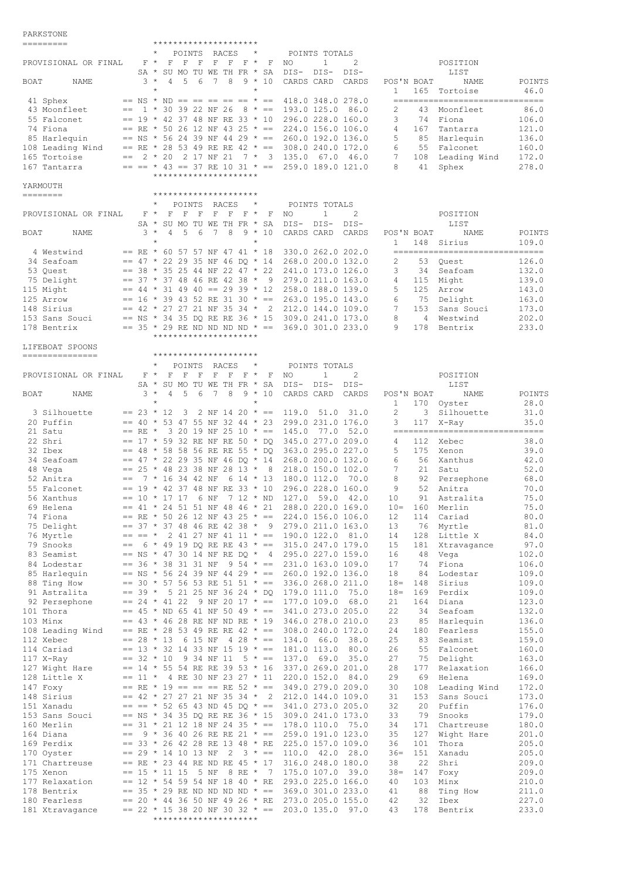PARKSTONE

| TITIM TAIRT                      |              |           | *********************                                                                   |                 |             |                                         |        |              |                 |                                   |                |
|----------------------------------|--------------|-----------|-----------------------------------------------------------------------------------------|-----------------|-------------|-----------------------------------------|--------|--------------|-----------------|-----------------------------------|----------------|
|                                  |              |           | POINTS<br>RACES                                                                         |                 |             | POINTS TOTALS                           |        |              |                 |                                   |                |
| PROVISIONAL OR FINAL             |              | $F \star$ | $\mathbf F$<br>$\mathbb{F}$<br>$\mathbf{F}$<br>F<br>$\mathbb F$                         | $F^*$           | $\mathbf F$ | $\mathbf{1}$<br>NO                      | 2      |              |                 | POSITION                          |                |
|                                  |              | SA *      | SU MO TU WE TH FR * SA                                                                  |                 |             | DIS-<br>$DIS-$                          | $DIS-$ |              |                 | LIST                              |                |
| BOAT<br>NAME                     |              | $3 *$     | 8<br>4<br>5<br>6<br>7                                                                   |                 | $9 * 10$    | CARDS CARD                              | CARDS  | POS'N BOAT   |                 | NAME                              | POINTS         |
|                                  |              |           | $\star$                                                                                 | $\star$         |             |                                         |        | $\mathbf{1}$ |                 | 165 Tortoise                      | 46.0           |
| 41 Sphex                         |              |           | $==$ NS $*$ ND $== == == == == * ==$                                                    |                 |             | 418.0 348.0 278.0                       |        |              |                 | --------------------------------- |                |
| 43 Moonfleet                     | $==$         |           | $1 * 30 39 22 NF 26 8 * ==$                                                             |                 |             | 193.0 125.0 86.0                        |        | 2            | 43              | Moonfleet                         | 86.0           |
| 55 Falconet<br>74 Fiona          |              |           | $== 19 * 42 37 48 NF RE 33 * 10$<br>== RE * 50 26 12 NF 43 25 * ==                      |                 |             | 296.0 228.0 160.0<br>224.0 156.0 106.0  |        | 3<br>4       | 167             | 74 Fiona                          | 106.0<br>121.0 |
|                                  |              |           | $==$ NS * 56 24 39 NF 44 29 * ==                                                        |                 |             | 260.0 192.0 136.0                       |        | 5            | 85              | Tantarra                          |                |
| 85 Harlequin                     |              |           | == RE * 28 53 49 RE RE 42 * ==                                                          |                 |             |                                         |        | 6            |                 | Harlequin<br>55 Falconet          | 136.0          |
| 108 Leading Wind<br>165 Tortoise |              |           | $== 2 * 20 2 17 NF 21$                                                                  |                 |             | 308.0 240.0 172.0<br>$7 * 3 135.0 67.0$ | 46.0   | 7            | 108             | Leading Wind                      | 160.0<br>172.0 |
| 167 Tantarra                     |              |           | $== == * 43 == 37 RE 10 31 * ==$                                                        |                 |             | 259.0 189.0 121.0                       |        | 8            | 41              | Sphex                             | 278.0          |
|                                  |              |           | *********************                                                                   |                 |             |                                         |        |              |                 |                                   |                |
| YARMOUTH                         |              |           |                                                                                         |                 |             |                                         |        |              |                 |                                   |                |
| ========                         |              |           | *********************                                                                   |                 |             |                                         |        |              |                 |                                   |                |
|                                  |              |           | POINTS<br>RACES                                                                         |                 |             | POINTS TOTALS                           |        |              |                 |                                   |                |
| PROVISIONAL OR FINAL             |              | $F \star$ | $\mathbf{F}$<br>$\mathbb{F}$<br>F                                                       | $F$ $F$ $F$ $*$ | F           | NO<br>$\mathbf{1}$                      | 2      |              |                 | POSITION                          |                |
|                                  |              |           | SA * SU MO TU WE TH FR * SA                                                             |                 |             | DIS-<br>DIS-                            | DIS-   |              |                 | LIST                              |                |
| BOAT<br>NAME                     |              | $3 *$     | $\overline{5}$<br>8<br>4<br>6<br>$7^{\circ}$                                            | $9 *$           | 10          | CARDS CARD                              | CARDS  | POS'N BOAT   |                 | NAME                              | POINTS         |
|                                  |              |           | $\star$                                                                                 | $\star$         |             |                                         |        | $\mathbf{1}$ |                 | 148 Sirius                        | 109.0          |
| 4 Westwind                       |              |           | $==$ RE * 60 57 57 NF 47 41 * 18                                                        |                 |             | 330.0 262.0 202.0                       |        |              |                 | --------------------------------- |                |
| 34 Seafoam                       |              |           | $== 47 * 22 29 35 NF 46 DO * 14$                                                        |                 |             | 268.0 200.0 132.0                       |        | 2            | 53              | Ouest                             | 126.0          |
| 53 Quest                         |              |           | $== 38 * 35 25 44 NF 22 47 * 22$                                                        |                 |             | 241.0 173.0 126.0                       |        | 3            | 34              | Seafoam                           | 132.0          |
| 75 Delight                       |              |           | $==$ 37 * 37 48 46 RE 42 38 * 9 279.0 211.0 163.0                                       |                 |             |                                         |        | 4            | 115             | Might                             | 139.0          |
| 115 Might                        |              |           | $== 44 \times 31 49 40 == 29 39 \times 12 258.0 188.0 139.0$                            |                 |             |                                         |        | 5            | 125             | Arrow                             | 143.0          |
| 125 Arrow                        |              |           | $== 16 * 39 43 52 RE 31 30 * == 263.0 195.0 143.0$                                      |                 |             |                                         |        | 6            | 75              | Delight                           | 163.0          |
| 148 Sirius                       |              |           | $==$ 42 * 27 27 21 NF 35 34 * 2 212.0 144.0 109.0                                       |                 |             |                                         |        | 7            | 153             | Sans Souci                        | 173.0          |
| 153 Sans Souci                   |              |           | $==$ NS * 34 35 DQ RE RE 36 * 15 309.0 241.0 173.0                                      |                 |             |                                         |        | 8<br>9       | $4\overline{ }$ | Westwind                          | 202.0          |
| 178 Bentrix                      |              |           | $==$ 35 $\star$ 29 RE ND ND ND ND $\star$ == 369.0 301.0 233.0<br>********************* |                 |             |                                         |        |              | 178             | Bentrix                           | 233.0          |
| LIFEBOAT SPOONS                  |              |           |                                                                                         |                 |             |                                         |        |              |                 |                                   |                |
| ===============                  |              |           | *********************                                                                   |                 |             |                                         |        |              |                 |                                   |                |
|                                  |              |           | RACES<br>$^\star$<br>POINTS                                                             | $\star$         |             | POINTS TOTALS                           |        |              |                 |                                   |                |
| PROVISIONAL OR FINAL             |              | $F \star$ | $\mathbf{F}$<br>$\mathbf{F}$<br>F<br>$\mathbf F$<br>F                                   | $F \star$       | F           | $\mathbf{1}$<br>NO                      | 2      |              |                 | POSITION                          |                |
|                                  |              | $SA *$    | SU MO TU WE TH FR *                                                                     |                 | SA          | DIS-<br>$DIS-$                          | DIS-   |              |                 | LIST                              |                |
| BOAT<br>NAME                     |              | $3 *$     | $\overline{4}$<br>5<br>7<br>8<br>6                                                      | $9 *$           | 10          | CARDS CARD                              | CARDS  | POS'N BOAT   |                 | NAME                              | POINTS         |
|                                  |              |           | $\star$                                                                                 | $\star$         |             |                                         |        | 1            |                 | 170 Oyster                        | 28.0           |
| 3 Silhouette                     | $== 23 * 12$ |           | $3 -$<br>2 NF 14 20 $* ==$                                                              |                 |             | 119.0<br>51.0                           | 31.0   | 2            |                 | 3 Silhouette                      | 31.0           |
| 20 Puffin                        | $= 40$ *     |           | 53 47 55 NF 32 44 * 23                                                                  |                 |             | 299.0 231.0 176.0                       |        | 3            | 117             | X-Ray                             | 35.0           |
| 21 Satu                          | $==$ RE $*$  |           | 3 20 19 NF 25 10 * ==                                                                   |                 |             | 145.0<br>77.0                           | 52.0   |              |                 | -------------------------------   |                |
| 22 Shri                          |              |           | $== 17 * 59 32 RE NF RE 50 * DO$                                                        |                 |             | 345.0 277.0 209.0                       |        | 4            |                 | 112 Xebec                         | 38.0           |
| 32 Ibex                          |              |           | $==$ 48 * 58 58 56 RE RE 55 * DQ                                                        |                 |             | 363.0 295.0 227.0                       |        | 5            | 175             | Xenon                             | 39.0           |
| 34 Seafoam                       |              |           | $==$ 47 * 22 29 35 NF 46 DO * 14 268.0 200.0 132.0                                      |                 |             |                                         |        | 6            |                 | 56 Xanthus                        | 42.0           |
| 48 Vega                          |              |           | $== 25 * 48 23 38 NF 28 13 *$                                                           |                 | 8           | 218.0 150.0 102.0                       |        | 7            | 21              | Satu                              | 52.0           |
| 52 Anitra                        | $==$         |           | 7 * 16 34 42 NF                                                                         | 6 14 * 13       |             | 180.0 112.0                             | 70.0   | 8            |                 | 92 Persephone                     | 68.0           |
| 55 Falconet                      |              |           | $== 19 * 42 37 48 NF RE 33 * 10$                                                        | 7 12 * ND       |             | 296.0 228.0 160.0<br>127.0<br>59.0      |        | 9            | 52              | Anitra                            | 70.0           |
| 56 Xanthus<br>69 Helena          |              |           | $== 10 * 17 17 6 NF$<br>$== 41 * 24 51 51 NF 48 46 * 21$                                |                 |             | 288.0 220.0 169.0                       | 42.0   | 10<br>$10 =$ | 91<br>160       | Astralita<br>Merlin               | 75.0<br>75.0   |
| 74 Fiona                         |              |           | $==$ RE * 50 26 12 NF 43 25 * ==                                                        |                 |             | 224.0 156.0 106.0                       |        | 12           | 114             | Cariad                            | 80.0           |
| 75 Delight                       |              |           | $== 37 * 37 48 46 RE 42 38 * 9$                                                         |                 |             | 279.0 211.0 163.0                       |        | 13           | 76              | Myrtle                            | 81.0           |
| 76 Myrtle                        |              |           | $== == * 2 41 27 NF 41 11 * ==$                                                         |                 |             | 190.0 122.0 81.0                        |        | 14           | 128             | Little X                          | 84.0           |
| 79 Snooks                        | $==$         |           | 6 * 49 19 DQ RE RE 43 * ==                                                              |                 |             | 315.0 247.0 179.0                       |        | 15           | 181             | Xtravagance                       | 97.0           |
| 83 Seamist                       |              |           | $==$ NS * 47 30 14 NF RE DQ * 4                                                         |                 |             | 295.0 227.0 159.0                       |        | 16           | 48              | Vega                              | 102.0          |
| 84 Lodestar                      |              |           | $== 36 * 38 31 31 NF$                                                                   | $9\ 54 \ * \ =$ |             | 231.0 163.0 109.0                       |        | 17           | 74              | Fiona                             | 106.0          |
| 85 Harlequin                     |              |           | $==$ NS * 56 24 39 NF 44 29 * $==$                                                      |                 |             | 260.0 192.0 136.0                       |        | 18           | 84              | Lodestar                          | 109.0          |
| 88 Ting How                      |              |           | $==$ 30 $*$ 57 56 53 RE 51 51 $* ==$                                                    |                 |             | 336.0 268.0 211.0                       |        | $18 =$       | 148             | Sirius                            | 109.0          |
| 91 Astralita                     |              |           | $== 39 * 5 21 25 NF 36 24 * DQ$                                                         |                 |             | 179.0 111.0                             | 75.0   | $18 =$       | 169             | Perdix                            | 109.0          |
| 92 Persephone                    |              |           | $== 24 \times 41 22 9 NF 20 17 \times == 177.0 109.0$                                   |                 |             |                                         | 68.0   | 21           | 164             | Diana                             | 123.0          |
| 101 Thora                        |              |           | $== 45$ * ND 65 41 NF 50 49 * ==                                                        |                 |             | 341.0 273.0 205.0                       |        | 22           | 34              | Seafoam                           | 132.0          |
| 103 Minx                         |              |           | $==$ 43 * 46 28 RE NF ND RE * 19 346.0 278.0 210.0                                      |                 |             |                                         |        | 23           | 85              | Harlequin                         | 136.0          |
| 108 Leading Wind                 |              |           | $==$ RE * 28 53 49 RE RE 42 * == 308.0 240.0 172.0                                      |                 |             |                                         |        | 24           | 180             | Fearless                          | 155.0          |
| 112 Xebec                        |              |           | $== 28 * 13 6 15 NF 4 28 * == 134.0 66.0$                                               |                 |             |                                         | 38.0   | 25           | 83              | Seamist                           | 159.0          |
| 114 Cariad                       |              |           | $== 13 * 32 14 33 NF 15 19 * == 181.0 113.0$                                            |                 |             |                                         | 80.0   | 26           | 55              | Falconet                          | 160.0          |
| $117$ X-Ray                      |              |           | $== 32 * 10 9 34 NF 11 5 * ==$                                                          |                 |             | 137.0 69.0                              | 35.0   | 27           | 75              | Delight                           | 163.0          |
| 127 Wight Hare                   |              |           | $== 14 \times 55$ 54 RE RE 39 53 $\times$ 16                                            |                 |             | 337.0 269.0 201.0                       |        | 28           | 177             | Relaxation                        | 166.0          |
| 128 Little X                     |              |           | $== 11 * 4 RE 30 NF 23 27 * 11 220.0 152.0 84.0$                                        |                 |             |                                         |        | 29           | 69              | Helena                            | 169.0          |
| 147 Foxy                         |              |           | $==$ RE * 19 == == == RE 52 * ==                                                        |                 |             | 349.0 279.0 209.0                       |        | 30           | 108             | Leading Wind                      | 172.0          |
| 148 Sirius<br>151 Xanadu         |              |           | $== 42 * 27 27 21 NF 35 34 * 2$<br>$== == * 52 65 43 ND 45 DQ * == 341.0 273.0 205.0$   |                 |             | 212.0 144.0 109.0                       |        | 31<br>32     | 153<br>20       | Sans Souci<br>Puffin              | 173.0<br>176.0 |
| 153 Sans Souci                   |              |           | $==$ NS * 34 35 DQ RE RE 36 * 15 309.0 241.0 173.0                                      |                 |             |                                         |        | 33           | 79              | Snooks                            | 179.0          |
| 160 Merlin                       |              |           | $==$ 31 * 21 12 18 NF 24 35 * == 178.0 110.0 75.0                                       |                 |             |                                         |        | 34           | 171             | Chartreuse                        | 180.0          |
| 164 Diana                        | $==$         |           | $9 * 36 40 26 RE RE 21 * == 259.0 191.0 123.0$                                          |                 |             |                                         |        | 35           | 127             | Wight Hare                        | 201.0          |
| 169 Perdix                       |              |           | $==$ 33 * 26 42 28 RE 13 48 * RE 225.0 157.0 109.0                                      |                 |             |                                         |        | 36           | 101             | Thora                             | 205.0          |
| 170 Oyster                       |              |           | $== 29 * 14 10 13 NF 2 3 * == 110.0 42.0 28.0$                                          |                 |             |                                         |        | $36=$        | 151             | Xanadu                            | 205.0          |
| 171 Chartreuse                   |              |           | $==$ RE * 23 44 RE ND RE 45 * 17                                                        |                 |             | 316.0 248.0 180.0                       |        | 38           | 22              | Shri                              | 209.0          |
| 175 Xenon                        |              |           | $== 15 * 11 15 5 NF 8 RE * 7 175.0 107.0 39.0$                                          |                 |             |                                         |        | $38 =$       | 147             | Foxy                              | 209.0          |
| 177 Relaxation                   |              |           | $== 12 * 54 59 54 NF 18 40 * RE$                                                        |                 |             | 293.0 225.0 166.0                       |        | 40           | 103             | Minx                              | 210.0          |
| 178 Bentrix                      |              |           | $==$ 35 $*$ 29 RE ND ND ND ND $* ==$ 369.0 301.0 233.0                                  |                 |             |                                         |        | 41           | 88              | Ting How                          | 211.0          |
| 180 Fearless                     |              |           |                                                                                         |                 |             |                                         |        |              |                 |                                   |                |
|                                  |              |           | $== 20 * 44 36 50 NF 49 26 * RE 273.0 205.0 155.0$                                      |                 |             |                                         |        | 42           | 32              | Ibex                              | 227.0          |
| 181 Xtravagance                  |              |           | $==$ 22 * 15 38 20 NF 30 32 * == 203.0 135.0 97.0<br>*********************              |                 |             |                                         |        | 43           | 178             | Bentrix                           | 233.0          |